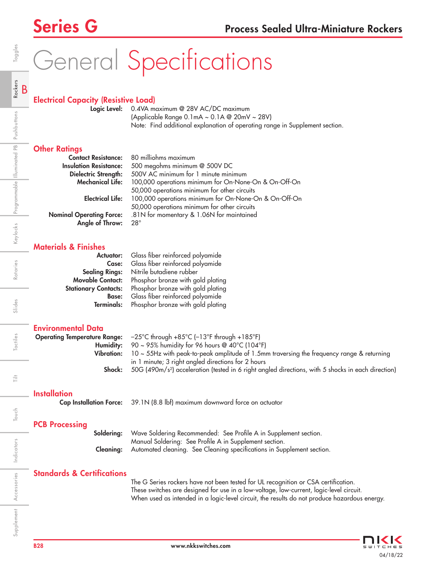# General Specifications

## Electrical Capacity (Resistive Load)

Logic Level: 0.4VA maximum @ 28V AC/DC maximum (Applicable Range 0.1mA ~ 0.1A @ 20mV ~ 28V) Note: Find additional explanation of operating range in Supplement section.

#### **Other Ratings**

| <b>Contact Resistance:</b>      | 80 milliohms maximum                                  |
|---------------------------------|-------------------------------------------------------|
| <b>Insulation Resistance:</b>   | 500 megohms minimum @ 500V DC                         |
| Dielectric Strength:            | 500V AC minimum for 1 minute minimum                  |
| <b>Mechanical Life:</b>         | 100,000 operations minimum for On-None-On & On-Off-On |
|                                 | 50,000 operations minimum for other circuits          |
| <b>Electrical Life:</b>         | 100,000 operations minimum for On-None-On & On-Off-On |
|                                 | 50,000 operations minimum for other circuits          |
| <b>Nominal Operating Force:</b> | .81N for momentary & 1.06N for maintained             |
| Angle of Throw:                 | $28^\circ$                                            |

### Materials & Finishes

|                             | Actuator: Glass fiber reinforced polyamide |
|-----------------------------|--------------------------------------------|
| Case:                       | Glass fiber reinforced polyamide           |
| <b>Sealing Rings:</b>       | Nitrile butadiene rubber                   |
| <b>Movable Contact:</b>     | Phosphor bronze with gold plating          |
| <b>Stationary Contacts:</b> | Phosphor bronze with gold plating          |
| <b>Base:</b>                | Glass fiber reinforced polyamide           |
| Terminals:                  | Phosphor bronze with gold plating          |

#### Environmental Data

|            | <b>Operating Temperature Range:</b> $-25^{\circ}$ C through $+85^{\circ}$ C ( $-13^{\circ}$ F through $+185^{\circ}$ F) |
|------------|-------------------------------------------------------------------------------------------------------------------------|
|            | <b>Humidity:</b> 90 ~ 95% humidity for 96 hours @ 40°C (104°F)                                                          |
| Vibration: | $10 \sim 55$ Hz with peak-to-peak amplitude of 1.5mm traversing the frequency range & returning                         |
|            | in 1 minute; 3 right angled directions for 2 hours                                                                      |
| Shock:     | 50G (490m/s <sup>2</sup> ) acceleration (tested in 6 right angled directions, with 5 shocks in each direction)          |
|            |                                                                                                                         |
|            |                                                                                                                         |

**Installation** 

Cap Installation Force: 39.1N (8.8 lbf) maximum downward force on actuator

## PCB Processing

| <b>Soldering:</b> Wave Soldering Recommended: See Profile A in Supplement section.      |
|-----------------------------------------------------------------------------------------|
| Manual Soldering: See Profile A in Supplement section.                                  |
| <b>Cleaning:</b> Automated cleaning. See Cleaning specifications in Supplement section. |

#### Standards & Certifications

The G Series rockers have not been tested for UL recognition or CSA certification. These switches are designed for use in a low-voltage, low-current, logic-level circuit. When used as intended in a logic-level circuit, the results do not produce hazardous energy.



Indicators

Ë

Touch

Accessories

Supplement Accessories Indicators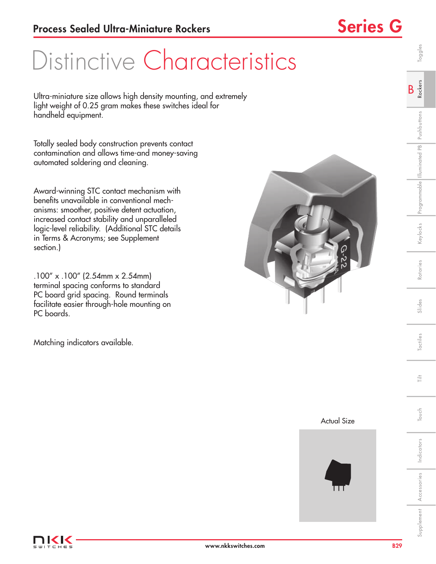## Distinctive Characteristics

Ultra-miniature size allows high density mounting, and extremely light weight of 0.25 gram makes these switches ideal for handheld equipment.

Totally sealed body construction prevents contact contamination and allows time-and money-saving automated soldering and cleaning.

Award-winning STC contact mechanism with benefits unavailable in conventional mechanisms: smoother, positive detent actuation, increased contact stability and unparalleled logic-level reliability. (Additional STC details in Terms & Acronyms; see Supplement section.)

.100" x .100" (2.54mm x 2.54mm) terminal spacing conforms to standard PC board grid spacing. Round terminals facilitate easier through-hole mounting on PC boards.

Matching indicators available.







B Rockers

Toggles



Indicators

Touch Tilt

Touch

言

Supplement Accessories Indicators I Touch I Tactiles I Slides I Rotaries Keylocks Programmable Illuminated Pushbuttons R**ockers** I Toggles

Slides

Tactiles

Rotaries

<eylocks | Programmable | Illuminated PB | Pushbuttons

Accessories

Supplement Accessories Indicators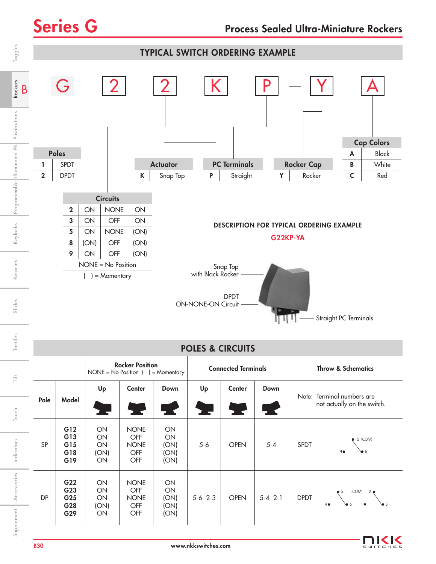

Supplement Accessories Accessories

3

(COM) 4 6

1

2

5

5-6 2-3 OPEN 5-4 2-1 DPDT

DP

G22 G23 G25 G28 G29

ON ON ON (ON) ON

NONE OFF NONE OFF **OFF** 

ON ON (ON) (ON) (ON)